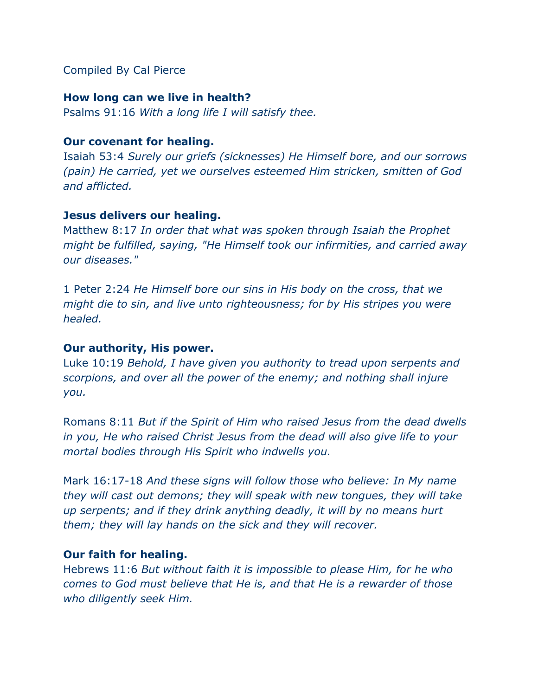Compiled By Cal Pierce

## **How long can we live in health?**

Psalms 91:16 *With a long life I will satisfy thee.*

### **Our covenant for healing.**

Isaiah 53:4 *Surely our griefs (sicknesses) He Himself bore, and our sorrows (pain) He carried, yet we ourselves esteemed Him stricken, smitten of God and afflicted.*

### **Jesus delivers our healing.**

Matthew 8:17 *In order that what was spoken through Isaiah the Prophet might be fulfilled, saying, "He Himself took our infirmities, and carried away our diseases."*

1 Peter 2:24 *He Himself bore our sins in His body on the cross, that we might die to sin, and live unto righteousness; for by His stripes you were healed.*

#### **Our authority, His power.**

Luke 10:19 *Behold, I have given you authority to tread upon serpents and scorpions, and over all the power of the enemy; and nothing shall injure you.* 

Romans 8:11 *But if the Spirit of Him who raised Jesus from the dead dwells in you, He who raised Christ Jesus from the dead will also give life to your mortal bodies through His Spirit who indwells you.*

Mark 16:17-18 *And these signs will follow those who believe: In My name they will cast out demons; they will speak with new tongues, they will take up serpents; and if they drink anything deadly, it will by no means hurt them; they will lay hands on the sick and they will recover.*

# **Our faith for healing.**

Hebrews 11:6 *But without faith it is impossible to please Him, for he who comes to God must believe that He is, and that He is a rewarder of those who diligently seek Him.*